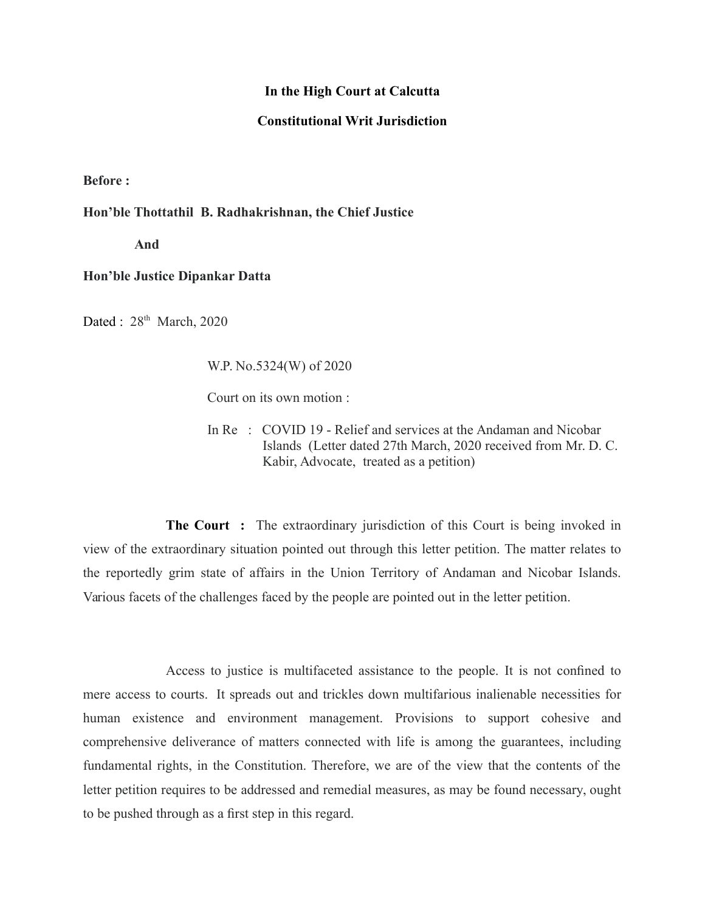## **In the High Court at Calcutta**

## **Constitutional Writ Jurisdiction**

**Before :**

## **Hon'ble Thottathil B. Radhakrishnan, the Chief Justice**

 **And**

## **Hon'ble Justice Dipankar Datta**

Dated : 28<sup>th</sup> March, 2020

W.P. No.5324(W) of 2020

Court on its own motion :

In Re : COVID 19 - Relief and services at the Andaman and Nicobar Islands (Letter dated 27th March, 2020 received from Mr. D. C. Kabir, Advocate, treated as a petition)

**The Court :** The extraordinary jurisdiction of this Court is being invoked in view of the extraordinary situation pointed out through this letter petition. The matter relates to the reportedly grim state of affairs in the Union Territory of Andaman and Nicobar Islands. Various facets of the challenges faced by the people are pointed out in the letter petition.

Access to justice is multifaceted assistance to the people. It is not confined to mere access to courts. It spreads out and trickles down multifarious inalienable necessities for human existence and environment management. Provisions to support cohesive and comprehensive deliverance of matters connected with life is among the guarantees, including fundamental rights, in the Constitution. Therefore, we are of the view that the contents of the letter petition requires to be addressed and remedial measures, as may be found necessary, ought to be pushed through as a first step in this regard.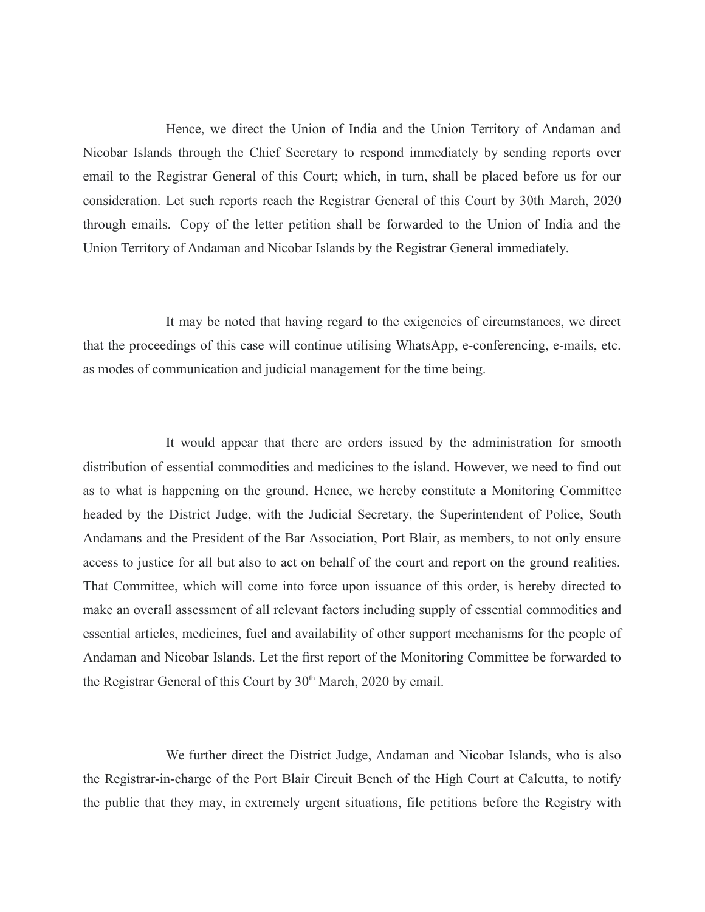Hence, we direct the Union of India and the Union Territory of Andaman and Nicobar Islands through the Chief Secretary to respond immediately by sending reports over email to the Registrar General of this Court; which, in turn, shall be placed before us for our consideration. Let such reports reach the Registrar General of this Court by 30th March, 2020 through emails. Copy of the letter petition shall be forwarded to the Union of India and the Union Territory of Andaman and Nicobar Islands by the Registrar General immediately.

It may be noted that having regard to the exigencies of circumstances, we direct that the proceedings of this case will continue utilising WhatsApp, e-conferencing, e-mails, etc. as modes of communication and judicial management for the time being.

It would appear that there are orders issued by the administration for smooth distribution of essential commodities and medicines to the island. However, we need to find out as to what is happening on the ground. Hence, we hereby constitute a Monitoring Committee headed by the District Judge, with the Judicial Secretary, the Superintendent of Police, South Andamans and the President of the Bar Association, Port Blair, as members, to not only ensure access to justice for all but also to act on behalf of the court and report on the ground realities. That Committee, which will come into force upon issuance of this order, is hereby directed to make an overall assessment of all relevant factors including supply of essential commodities and essential articles, medicines, fuel and availability of other support mechanisms for the people of Andaman and Nicobar Islands. Let the first report of the Monitoring Committee be forwarded to the Registrar General of this Court by 30<sup>th</sup> March, 2020 by email.

We further direct the District Judge, Andaman and Nicobar Islands, who is also the Registrar-in-charge of the Port Blair Circuit Bench of the High Court at Calcutta, to notify the public that they may, in extremely urgent situations, file petitions before the Registry with